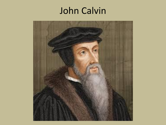## John Calvin

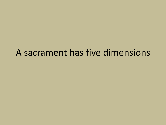#### A sacrament has five dimensions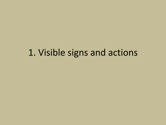### 1. Visible signs and actions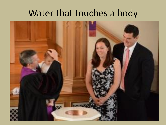#### Water that touches a body

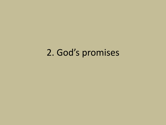#### 2. God's promises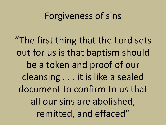#### Forgiveness of sins

"The first thing that the Lord sets out for us is that baptism should be a token and proof of our cleansing . . . it is like a sealed document to confirm to us that all our sins are abolished, remitted, and effaced"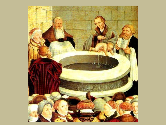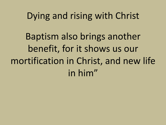### Dying and rising with Christ

Baptism also brings another benefit, for it shows us our mortification in Christ, and new life in him"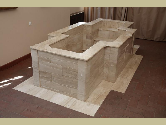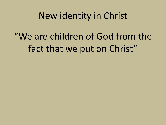### New identity in Christ

"We are children of God from the fact that we put on Christ"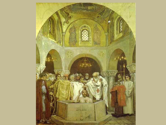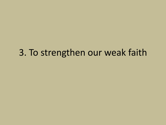### 3. To strengthen our weak faith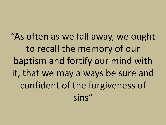"As often as we fall away, we ought to recall the memory of our baptism and fortify our mind with it, that we may always be sure and confident of the forgiveness of sins"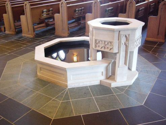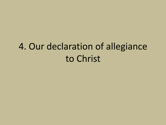# 4. Our declaration of allegiance to Christ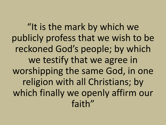"It is the mark by which we publicly profess that we wish to be reckoned God's people; by which we testify that we agree in worshipping the same God, in one religion with all Christians; by which finally we openly affirm our faith"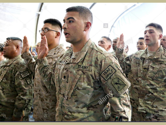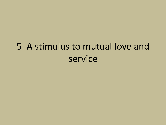# 5. A stimulus to mutual love and service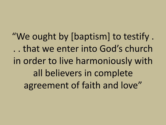"We ought by [baptism] to testify . . . that we enter into God's church in order to live harmoniously with all believers in complete agreement of faith and love"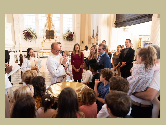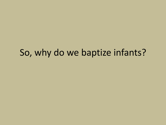#### So, why do we baptize infants?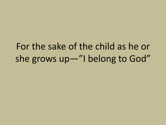# For the sake of the child as he or she grows up—"I belong to God"